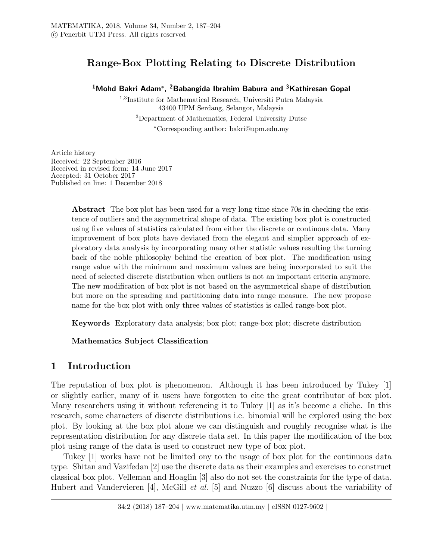# Range-Box Plotting Relating to Discrete Distribution

### <sup>1</sup>Mohd Bakri Adam\*, <sup>2</sup>Babangida Ibrahim Babura and <sup>3</sup>Kathiresan Gopal

1,3 Institute for Mathematical Research, Universiti Putra Malaysia 43400 UPM Serdang, Selangor, Malaysia <sup>3</sup>Department of Mathematics, Federal University Dutse <sup>∗</sup>Corresponding author: bakri@upm.edu.my

Article history Received: 22 September 2016 Received in revised form: 14 June 2017 Accepted: 31 October 2017 Published on line: 1 December 2018

> Abstract The box plot has been used for a very long time since 70s in checking the existence of outliers and the asymmetrical shape of data. The existing box plot is constructed using five values of statistics calculated from either the discrete or continous data. Many improvement of box plots have deviated from the elegant and simplier approach of exploratory data analysis by incorporating many other statistic values resulting the turning back of the noble philosophy behind the creation of box plot. The modification using range value with the minimum and maximum values are being incorporated to suit the need of selected discrete distribution when outliers is not an important criteria anymore. The new modification of box plot is not based on the asymmetrical shape of distribution but more on the spreading and partitioning data into range measure. The new propose name for the box plot with only three values of statistics is called range-box plot.

Keywords Exploratory data analysis; box plot; range-box plot; discrete distribution

Mathematics Subject Classification

# 1 Introduction

The reputation of box plot is phenomenon. Although it has been introduced by Tukey [1] or slightly earlier, many of it users have forgotten to cite the great contributor of box plot. Many researchers using it without referencing it to Tukey [1] as it's become a cliche. In this research, some characters of discrete distributions i.e. binomial will be explored using the box plot. By looking at the box plot alone we can distinguish and roughly recognise what is the representation distribution for any discrete data set. In this paper the modification of the box plot using range of the data is used to construct new type of box plot.

Tukey [1] works have not be limited ony to the usage of box plot for the continuous data type. Shitan and Vazifedan [2] use the discrete data as their examples and exercises to construct classical box plot. Velleman and Hoaglin [3] also do not set the constraints for the type of data. Hubert and Vandervieren [4], McGill et al. [5] and Nuzzo [6] discuss about the variability of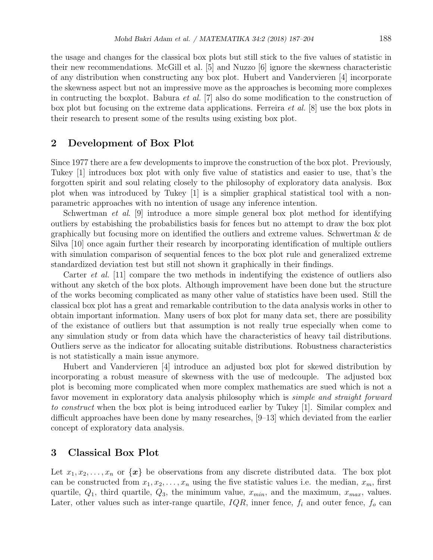the usage and changes for the classical box plots but still stick to the five values of statistic in their new recommendations. McGill et al. [5] and Nuzzo [6] ignore the skewness characteristic of any distribution when constructing any box plot. Hubert and Vandervieren [4] incorporate the skewness aspect but not an impressive move as the approaches is becoming more complexes in contructing the boxplot. Babura *et al.* [7] also do some modification to the construction of box plot but focusing on the extreme data applications. Ferreira et al. [8] use the box plots in their research to present some of the results using existing box plot.

# 2 Development of Box Plot

Since 1977 there are a few developments to improve the construction of the box plot. Previously, Tukey [1] introduces box plot with only five value of statistics and easier to use, that's the forgotten spirit and soul relating closely to the philosophy of exploratory data analysis. Box plot when was introduced by Tukey [1] is a simplier graphical statistical tool with a nonparametric approaches with no intention of usage any inference intention.

Schwertman *et al.* [9] introduce a more simple general box plot method for identifying outliers by estabishing the probabilistics basis for fences but no attempt to draw the box plot graphically but focusing more on identified the outliers and extreme values. Schwertman & de Silva [10] once again further their research by incorporating identification of multiple outliers with simulation comparison of sequential fences to the box plot rule and generalized extreme standardized deviation test but still not shown it graphically in their findings.

Carter *et al.* [11] compare the two methods in indentifying the existence of outliers also without any sketch of the box plots. Although improvement have been done but the structure of the works becoming complicated as many other value of statistics have been used. Still the classical box plot has a great and remarkable contribution to the data analysis works in other to obtain important information. Many users of box plot for many data set, there are possibility of the existance of outliers but that assumption is not really true especially when come to any simulation study or from data which have the characteristics of heavy tail distributions. Outliers serve as the indicator for allocating suitable distributions. Robustness characteristics is not statistically a main issue anymore.

Hubert and Vandervieren [4] introduce an adjusted box plot for skewed distribution by incorporating a robust measure of skewness with the use of medcouple. The adjusted box plot is becoming more complicated when more complex mathematics are sued which is not a favor movement in exploratory data analysis philosophy which is simple and straight forward to construct when the box plot is being introduced earlier by Tukey [1]. Similar complex and difficult approaches have been done by many researches, [9–13] which deviated from the earlier concept of exploratory data analysis.

## 3 Classical Box Plot

Let  $x_1, x_2, \ldots, x_n$  or  $\{x\}$  be observations from any discrete distributed data. The box plot can be constructed from  $x_1, x_2, \ldots, x_n$  using the five statistic values i.e. the median,  $x_m$ , first quartile,  $Q_1$ , third quartile,  $Q_3$ , the minimum value,  $x_{min}$ , and the maximum,  $x_{max}$ , values. Later, other values such as inter-range quartile,  $IQR$ , inner fence,  $f_i$  and outer fence,  $f_o$  can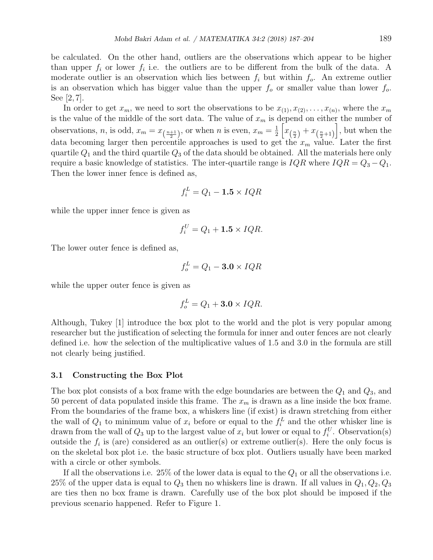be calculated. On the other hand, outliers are the observations which appear to be higher than upper  $f_i$  or lower  $f_i$  i.e. the outliers are to be different from the bulk of the data. A moderate outlier is an observation which lies between  $f_i$  but within  $f_o$ . An extreme outlier is an observation which has bigger value than the upper  $f_0$  or smaller value than lower  $f_0$ . See [2, 7].

In order to get  $x_m$ , we need to sort the observations to be  $x_{(1)}, x_{(2)}, \ldots, x_{(n)}$ , where the  $x_m$ is the value of the middle of the sort data. The value of  $x_m$  is depend on either the number of observations, *n*, is odd,  $x_m = x_{\left(\frac{n+1}{2}\right)}$ , or when *n* is even,  $x_m = \frac{1}{2}$  $\frac{1}{2}\left[x_{(\frac{n}{2})}+x_{(\frac{n}{2}+1)}\right]$ , but when the data becoming larger then percentile approaches is used to get the  $x_m$  value. Later the first quartile  $Q_1$  and the third quartile  $Q_3$  of the data should be obtained. All the materials here only require a basic knowledge of statistics. The inter-quartile range is  $IQR$  where  $IQR = Q_3 - Q_1$ . Then the lower inner fence is defined as,

$$
f_i^L = Q_1 - \mathbf{1.5} \times IQR
$$

while the upper inner fence is given as

$$
f_i^U = Q_1 + \mathbf{1.5} \times IQR.
$$

The lower outer fence is defined as,

$$
f_o^L = Q_1 - \mathbf{3.0} \times IQR
$$

while the upper outer fence is given as

$$
f_o^L = Q_1 + \mathbf{3.0} \times IQR.
$$

Although, Tukey [1] introduce the box plot to the world and the plot is very popular among researcher but the justification of selecting the formula for inner and outer fences are not clearly defined i.e. how the selection of the multiplicative values of 1.5 and 3.0 in the formula are still not clearly being justified.

#### 3.1 Constructing the Box Plot

The box plot consists of a box frame with the edge boundaries are between the  $Q_1$  and  $Q_3$ , and 50 percent of data populated inside this frame. The  $x_m$  is drawn as a line inside the box frame. From the boundaries of the frame box, a whiskers line (if exist) is drawn stretching from either the wall of  $Q_1$  to minimum value of  $x_i$  before or equal to the  $f_i^L$  and the other whisker line is drawn from the wall of  $Q_3$  up to the largest value of  $x_i$  but lower or equal to  $f_i^U$ . Observation(s) outside the  $f_i$  is (are) considered as an outlier(s) or extreme outlier(s). Here the only focus is on the skeletal box plot i.e. the basic structure of box plot. Outliers usually have been marked with a circle or other symbols.

If all the observations i.e. 25% of the lower data is equal to the  $Q_1$  or all the observations i.e. 25% of the upper data is equal to  $Q_3$  then no whiskers line is drawn. If all values in  $Q_1, Q_2, Q_3$ are ties then no box frame is drawn. Carefully use of the box plot should be imposed if the previous scenario happened. Refer to Figure 1.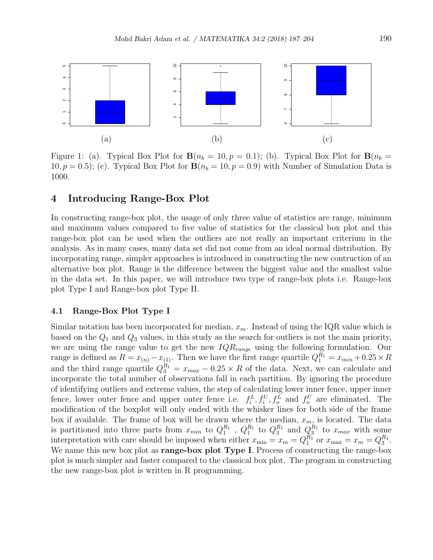

Figure 1: (a). Typical Box Plot for  $\mathbf{B}(n_b = 10, p = 0.1)$ ; (b). Typical Box Plot for  $\mathbf{B}(n_b = 10, p = 0.1)$ 10,  $p = 0.5$ ; (c). Typical Box Plot for  $B(n_b = 10, p = 0.9)$  with Number of Simulation Data is 1000.

### 4 Introducing Range-Box Plot

In constructing range-box plot, the usage of only three value of statistics are range, minimum and maximum values compared to five value of statistics for the classical box plot and this range-box plot can be used when the outliers are not really an important criterium in the analysis. As in many cases, many data set did not come from an ideal normal distribution. By incorporating range, simpler approaches is introduced in constructing the new contruction of an alternative box plot. Range is the difference between the biggest value and the smallest value in the data set. In this paper, we will introduce two type of range-box plots i.e. Range-box plot Type I and Range-box plot Type II.

#### 4.1 Range-Box Plot Type I

Similar notation has been incorporated for median,  $x_m$ . Instead of using the IQR value which is based on the  $Q_1$  and  $Q_3$  values, in this study as the search for outliers is not the main priority, we are using the range value to get the new  $IQR_{range}$  using the following formulation. Our range is defined as  $R = x_{(n)} - x_{(1)}$ . Then we have the first range quartile  $Q_1^{R_1} = x_{min} + 0.25 \times R$ and the third range quartile  $Q_3^{R_1} = x_{max} - 0.25 \times R$  of the data. Next, we can calculate and incorporate the total number of observations fall in each partition. By ignoring the procedure of identifying outliers and extreme values, the step of calculating lower inner fence, upper inner fence, lower outer fence and upper outer fence i.e.  $f_i^L, f_i^U, f_o^L$  and  $f_o^U$  are eliminated. The modification of the boxplot will only ended with the whisker lines for both side of the frame box if available. The frame of box will be drawn where the median,  $x_m$ , is located. The data is partitioned into three parts from  $x_{min}$  to  $Q_1^{R_1}$ ,  $Q_1^{R_1}$  to  $Q_3^{R_1}$  and  $Q_3^{R_1}$  to  $x_{max}$  with some interpretation with care should be imposed when either  $x_{\min} = x_m = Q_1^{R_1}$  or  $x_{\max} = x_m = Q_3^{R_1}$ . We name this new box plot as **range-box plot Type I**. Process of constructing the range-box plot is much simpler and faster compared to the classical box plot. The program in constructing the new range-box plot is written in R programming.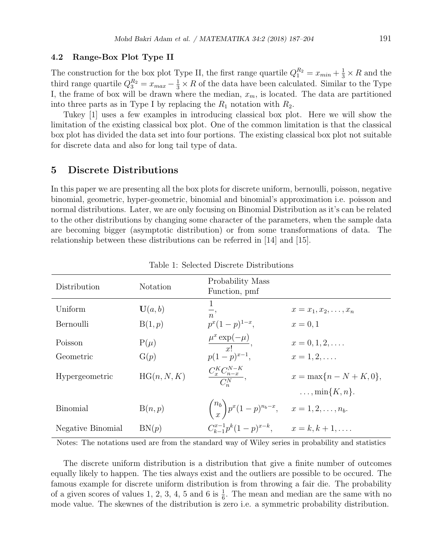#### 4.2 Range-Box Plot Type II

The construction for the box plot Type II, the first range quartile  $Q_1^{R_2} = x_{min} + \frac{1}{3} \times R$  and the third range quartile  $Q_3^{R_2} = x_{max} - \frac{1}{3} \times R$  of the data have been calculated. Similar to the Type I, the frame of box will be drawn where the median,  $x_m$ , is located. The data are partitioned into three parts as in Type I by replacing the  $R_1$  notation with  $R_2$ .

Tukey [1] uses a few examples in introducing classical box plot. Here we will show the limitation of the existing classical box plot. One of the common limitation is that the classical box plot has divided the data set into four portions. The existing classical box plot not suitable for discrete data and also for long tail type of data.

### 5 Discrete Distributions

In this paper we are presenting all the box plots for discrete uniform, bernoulli, poisson, negative binomial, geometric, hyper-geometric, binomial and binomial's approximation i.e. poisson and normal distributions. Later, we are only focusing on Binomial Distribution as it's can be related to the other distributions by changing some character of the parameters, when the sample data are becoming bigger (asymptotic distribution) or from some transformations of data. The relationship between these distributions can be referred in [14] and [15].

| Distribution      | Notation    | Probability Mass<br>Function, pmf                                |                                                            |
|-------------------|-------------|------------------------------------------------------------------|------------------------------------------------------------|
| Uniform           | U(a, b)     | $\overline{n}$ ,                                                 | $x = x_1, x_2, \ldots, x_n$                                |
| Bernoulli         | B(1,p)      | $p^x(1-p)^{1-x},$                                                | $x = 0, 1$                                                 |
| Poisson           | $P(\mu)$    | $\frac{\mu^x \exp(-\mu)}{x!},$                                   | $x = 0, 1, 2, \ldots$                                      |
| Geometric         | G(p)        | $p(1-p)^{x-1},$                                                  | $x = 1, 2, \ldots$                                         |
| Hypergeometric    | HG(n, N, K) | $\frac{C_{x}^{K}C_{n-x}^{N-K}}{C_{x}^{N}},$                      | $x = \max\{n - N + K, 0\},\$<br>$\ldots$ , min $\{K,n\}$ . |
|                   |             |                                                                  |                                                            |
| <b>Binomial</b>   | B(n,p)      | $\binom{n_b}{x} p^x (1-p)^{n_b-x}, \quad x = 1, 2, \ldots, n_b.$ |                                                            |
| Negative Binomial | BN(p)       | $C_{k-1}^{x-1}p^{k}(1-p)^{x-k},$                                 | $x = k, k+1, \ldots$                                       |

Table 1: Selected Discrete Distributions

Notes: The notations used are from the standard way of Wiley series in probability and statistics

The discrete uniform distribution is a distribution that give a finite number of outcomes equally likely to happen. The ties always exist and the outliers are possible to be occured. The famous example for discrete uniform distribution is from throwing a fair die. The probability of a given scores of values 1, 2, 3, 4, 5 and 6 is  $\frac{1}{6}$ . The mean and median are the same with no mode value. The skewnes of the distribution is zero i.e. a symmetric probability distribution.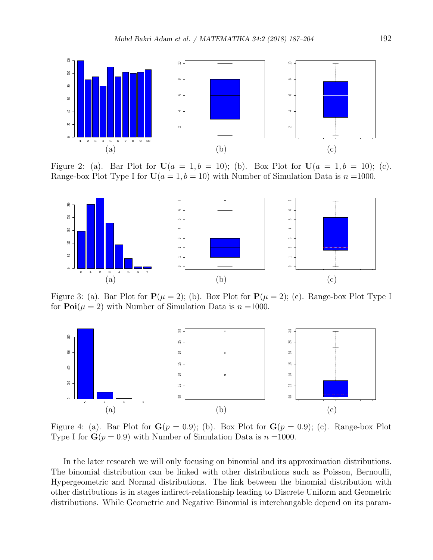

Figure 2: (a). Bar Plot for  $U(a = 1, b = 10)$ ; (b). Box Plot for  $U(a = 1, b = 10)$ ; (c). Range-box Plot Type I for  $U(a = 1, b = 10)$  with Number of Simulation Data is  $n = 1000$ .



Figure 3: (a). Bar Plot for  $P(\mu = 2)$ ; (b). Box Plot for  $P(\mu = 2)$ ; (c). Range-box Plot Type I for  $\text{Poi}(\mu = 2)$  with Number of Simulation Data is  $n = 1000$ .



Figure 4: (a). Bar Plot for  $G(p = 0.9)$ ; (b). Box Plot for  $G(p = 0.9)$ ; (c). Range-box Plot Type I for  $G(p = 0.9)$  with Number of Simulation Data is  $n = 1000$ .

In the later research we will only focusing on binomial and its approximation distributions. The binomial distribution can be linked with other distributions such as Poisson, Bernoulli, Hypergeometric and Normal distributions. The link between the binomial distribution with other distributions is in stages indirect-relationship leading to Discrete Uniform and Geometric distributions. While Geometric and Negative Binomial is interchangable depend on its param-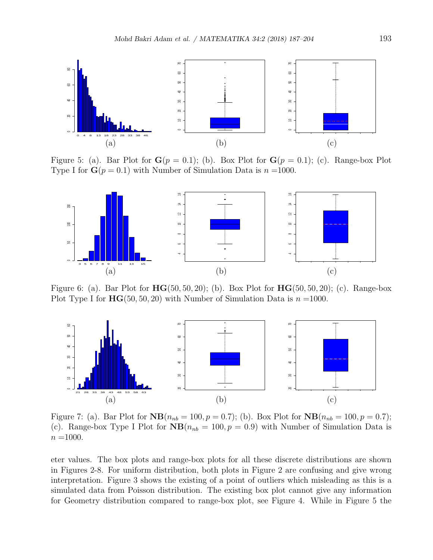

Figure 5: (a). Bar Plot for  $G(p = 0.1)$ ; (b). Box Plot for  $G(p = 0.1)$ ; (c). Range-box Plot Type I for  $\mathbf{G}(p=0.1)$  with Number of Simulation Data is  $n = 1000$ .



Figure 6: (a). Bar Plot for  $HG(50, 50, 20)$ ; (b). Box Plot for  $HG(50, 50, 20)$ ; (c). Range-box Plot Type I for  $HG(50, 50, 20)$  with Number of Simulation Data is  $n = 1000$ .



Figure 7: (a). Bar Plot for  $NB(n_{nb} = 100, p = 0.7)$ ; (b). Box Plot for  $NB(n_{nb} = 100, p = 0.7)$ ; (c). Range-box Type I Plot for  $NB(n_{nb} = 100, p = 0.9)$  with Number of Simulation Data is  $n = 1000$ .

eter values. The box plots and range-box plots for all these discrete distributions are shown in Figures 2-8. For uniform distribution, both plots in Figure 2 are confusing and give wrong interpretation. Figure 3 shows the existing of a point of outliers which misleading as this is a simulated data from Poisson distribution. The existing box plot cannot give any information for Geometry distribution compared to range-box plot, see Figure 4. While in Figure 5 the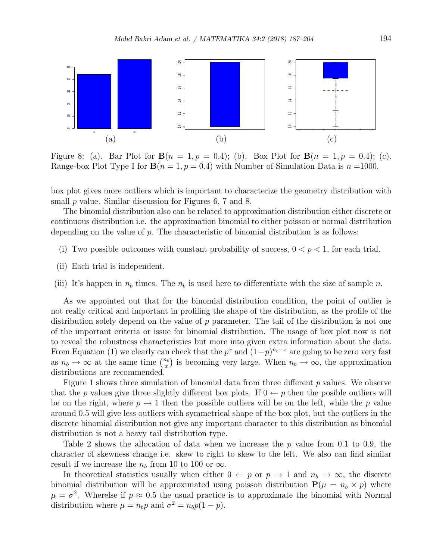

Figure 8: (a). Bar Plot for  $B(n = 1, p = 0.4)$ ; (b). Box Plot for  $B(n = 1, p = 0.4)$ ; (c). Range-box Plot Type I for  $B(n = 1, p = 0.4)$  with Number of Simulation Data is  $n = 1000$ .

box plot gives more outliers which is important to characterize the geometry distribution with small  $p$  value. Similar discussion for Figures 6, 7 and 8.

The binomial distribution also can be related to approximation distribution either discrete or continuous distribution i.e. the approximation binomial to either poisson or normal distribution depending on the value of  $p$ . The characteristic of binomial distribution is as follows:

- (i) Two possible outcomes with constant probability of success,  $0 < p < 1$ , for each trial.
- (ii) Each trial is independent.
- (iii) It's happen in  $n_b$  times. The  $n_b$  is used here to differentiate with the size of sample n.

As we appointed out that for the binomial distribution condition, the point of outlier is not really critical and important in profiling the shape of the distribution, as the profile of the distribution solely depend on the value of  $p$  parameter. The tail of the distribution is not one of the important criteria or issue for binomial distribution. The usage of box plot now is not to reveal the robustness characteristics but more into given extra information about the data. From Equation (1) we clearly can check that the  $p^x$  and  $(1-p)^{n_b-x}$  are going to be zero very fast as  $n_b \to \infty$  at the same time  $\binom{n_b}{x}$  $\binom{n_b}{x}$  is becoming very large. When  $n_b \to \infty$ , the approximation distributions are recommended.

Figure 1 shows three simulation of binomial data from three different  $p$  values. We observe that the p values give three slightly different box plots. If  $0 \leftarrow p$  then the posible outliers will be on the right, where  $p \to 1$  then the possible outliers will be on the left, while the p value around 0.5 will give less outliers with symmetrical shape of the box plot, but the outliers in the discrete binomial distribution not give any important character to this distribution as binomial distribution is not a heavy tail distribution type.

Table 2 shows the allocation of data when we increase the p value from 0.1 to 0.9, the character of skewness change i.e. skew to right to skew to the left. We also can find similar result if we increase the  $n_b$  from 10 to 100 or  $\infty$ .

In theoretical statistics usually when either  $0 \leftarrow p$  or  $p \rightarrow 1$  and  $n_b \rightarrow \infty$ , the discrete binomial distribution will be approximated using poisson distribution  $P(\mu = n_b \times p)$  where  $\mu = \sigma^2$ . Wherelse if  $p \approx 0.5$  the usual practice is to approximate the binomial with Normal distribution where  $\mu = n_b p$  and  $\sigma^2 = n_b p(1-p)$ .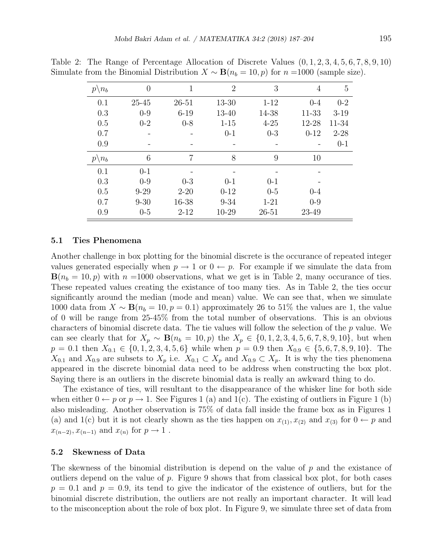| $p \backslash n_b$ | $\overline{0}$ | 1         | $\overline{2}$ | 3        | 4        | 5        |
|--------------------|----------------|-----------|----------------|----------|----------|----------|
| 0.1                | $25 - 45$      | $26 - 51$ | 13-30          | $1 - 12$ | $0 - 4$  | $0 - 2$  |
| 0.3                | $0-9$          | $6 - 19$  | 13-40          | 14-38    | 11-33    | $3-19$   |
| 0.5                | $0 - 2$        | $0 - 8$   | $1 - 15$       | $4 - 25$ | 12-28    | 11-34    |
| 0.7                |                |           | $0 - 1$        | $0-3$    | $0 - 12$ | $2 - 28$ |
| 0.9                |                |           |                |          |          | $0 - 1$  |
| $p \backslash n_b$ | 6              | 7         | 8              | 9        | 10       |          |
| 0.1                | $0 - 1$        |           |                |          |          |          |
| 0.3                | $0 - 9$        | $0-3$     | $0 - 1$        | $0 - 1$  |          |          |
| 0.5                | $9 - 29$       | $2 - 20$  | $0 - 12$       | $0-5$    | $0 - 4$  |          |
| 0.7                | $9 - 30$       | 16-38     | $9 - 34$       | $1 - 21$ | $0 - 9$  |          |
| 0.9                | $0-5$          | $2 - 12$  | 10-29          | 26-51    | 23-49    |          |

Table 2: The Range of Percentage Allocation of Discrete Values (0, 1, 2, 3, 4, 5, 6, 7, 8, 9, 10) Simulate from the Binomial Distribution  $X \sim \mathbf{B}(n_b = 10, p)$  for  $n =1000$  (sample size).

#### 5.1 Ties Phenomena

Another challenge in box plotting for the binomial discrete is the occurance of repeated integer values generated especially when  $p \to 1$  or  $0 \leftarrow p$ . For example if we simulate the data from  $B(n_b = 10, p)$  with  $n =1000$  observations, what we get is in Table 2, many occurance of ties. These repeated values creating the existance of too many ties. As in Table 2, the ties occur significantly around the median (mode and mean) value. We can see that, when we simulate 1000 data from  $X \sim \mathbf{B}(n_b = 10, p = 0.1)$  approximately 26 to 51% the values are 1, the value of 0 will be range from 25-45% from the total number of observations. This is an obvious characters of binomial discrete data. The tie values will follow the selection of the p value. We can see clearly that for  $X_p \sim \mathbf{B}(n_b = 10, p)$  the  $X_p \in \{0, 1, 2, 3, 4, 5, 6, 7, 8, 9, 10\}$ , but when  $p = 0.1$  then  $X_{0,1} \in \{0, 1, 2, 3, 4, 5, 6\}$  while when  $p = 0.9$  then  $X_{0,9} \in \{5, 6, 7, 8, 9, 10\}$ . The  $X_{0,1}$  and  $X_{0,9}$  are subsets to  $X_p$  i.e.  $X_{0,1} \subset X_p$  and  $X_{0,9} \subset X_p$ . It is why the ties phenomena appeared in the discrete binomial data need to be address when constructing the box plot. Saying there is an outliers in the discrete binomial data is really an awkward thing to do.

The existance of ties, will resultant to the disappearance of the whisker line for both side when either  $0 \leftarrow p$  or  $p \rightarrow 1$ . See Figures 1 (a) and 1(c). The existing of outliers in Figure 1 (b) also misleading. Another observation is 75% of data fall inside the frame box as in Figures 1 (a) and 1(c) but it is not clearly shown as the ties happen on  $x_{(1)}$ ,  $x_{(2)}$  and  $x_{(3)}$  for  $0 \leftarrow p$  and  $x_{(n-2)}, x_{(n-1)}$  and  $x_{(n)}$  for  $p \to 1$ .

#### 5.2 Skewness of Data

The skewness of the binomial distribution is depend on the value of p and the existance of outliers depend on the value of  $p$ . Figure 9 shows that from classical box plot, for both cases  $p = 0.1$  and  $p = 0.9$ , its tend to give the indicator of the existence of outliers, but for the binomial discrete distribution, the outliers are not really an important character. It will lead to the misconception about the role of box plot. In Figure 9, we simulate three set of data from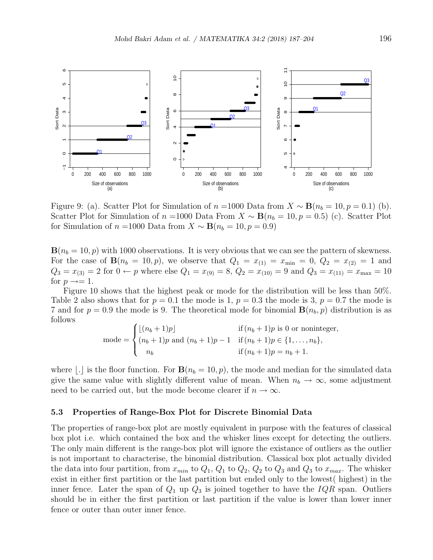

Figure 9: (a). Scatter Plot for Simulation of  $n =1000$  Data from  $X \sim \mathbf{B}(n_b = 10, p = 0.1)$  (b). Scatter Plot for Simulation of  $n =1000$  Data From  $X \sim \mathbf{B}(n_b = 10, p = 0.5)$  (c). Scatter Plot for Simulation of  $n =1000$  Data from  $X \sim \mathbf{B}(n_b = 10, p = 0.9)$ 

 $\mathbf{B}(n_b = 10, p)$  with 1000 observations. It is very obvious that we can see the pattern of skewness. For the case of  $B(n_b = 10, p)$ , we observe that  $Q_1 = x_{(1)} = x_{\min} = 0$ ,  $Q_2 = x_{(2)} = 1$  and  $Q_3 = x_{(3)} = 2$  for  $0 \leftarrow p$  where else  $Q_1 = x_{(9)} = 8$ ,  $Q_2 = x_{(10)} = 9$  and  $Q_3 = x_{(11)} = x_{\text{max}} = 10$ for  $p \rightarrow = 1$ .

Figure 10 shows that the highest peak or mode for the distribution will be less than 50%. Table 2 also shows that for  $p = 0.1$  the mode is 1,  $p = 0.3$  the mode is 3,  $p = 0.7$  the mode is 7 and for  $p = 0.9$  the mode is 9. The theoretical mode for binomial  $\mathbf{B}(n_b, p)$  distribution is as follows

mode = 
$$
\begin{cases} \lfloor (n_b + 1)p \rfloor & \text{if } (n_b + 1)p \text{ is 0 or noninteger,} \\ (n_b + 1)p \text{ and } (n_b + 1)p - 1 & \text{if } (n_b + 1)p \in \{1, ..., n_b\}, \\ n_b & \text{if } (n_b + 1)p = n_b + 1. \end{cases}
$$

where |. is the floor function. For  $\mathbf{B}(n_b = 10, p)$ , the mode and median for the simulated data give the same value with slightly different value of mean. When  $n_b \to \infty$ , some adjustment need to be carried out, but the mode become clearer if  $n \to \infty$ .

#### 5.3 Properties of Range-Box Plot for Discrete Binomial Data

The properties of range-box plot are mostly equivalent in purpose with the features of classical box plot i.e. which contained the box and the whisker lines except for detecting the outliers. The only main different is the range-box plot will ignore the existance of outliers as the outlier is not important to characterise, the binomial distribution. Classical box plot actually divided the data into four partition, from  $x_{min}$  to  $Q_1$ ,  $Q_1$  to  $Q_2$ ,  $Q_2$  to  $Q_3$  and  $Q_3$  to  $x_{max}$ . The whisker exist in either first partition or the last partition but ended only to the lowest( highest) in the inner fence. Later the span of  $Q_1$  up  $Q_3$  is joined together to have the  $IQR$  span. Outliers should be in either the first partition or last partition if the value is lower than lower inner fence or outer than outer inner fence.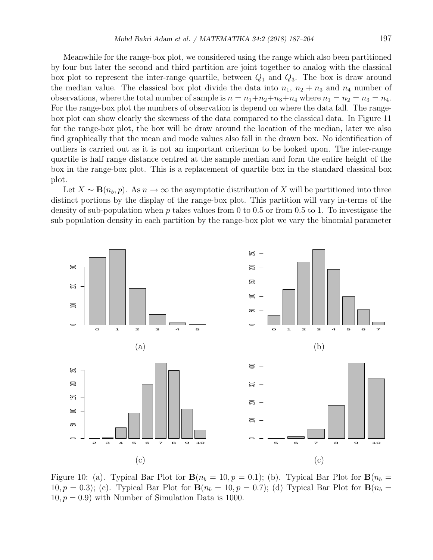Meanwhile for the range-box plot, we considered using the range which also been partitioned by four but later the second and third partition are joint together to analog with the classical box plot to represent the inter-range quartile, between  $Q_1$  and  $Q_3$ . The box is draw around the median value. The classical box plot divide the data into  $n_1$ ,  $n_2 + n_3$  and  $n_4$  number of observations, where the total number of sample is  $n = n_1+n_2+n_3+n_4$  where  $n_1 = n_2 = n_3 = n_4$ . For the range-box plot the numbers of observation is depend on where the data fall. The rangebox plot can show clearly the skewness of the data compared to the classical data. In Figure 11 for the range-box plot, the box will be draw around the location of the median, later we also find graphically that the mean and mode values also fall in the drawn box. No identification of outliers is carried out as it is not an important criterium to be looked upon. The inter-range quartile is half range distance centred at the sample median and form the entire height of the box in the range-box plot. This is a replacement of quartile box in the standard classical box plot.

Let  $X \sim \mathbf{B}(n_b, p)$ . As  $n \to \infty$  the asymptotic distribution of X will be partitioned into three distinct portions by the display of the range-box plot. This partition will vary in-terms of the density of sub-population when p takes values from 0 to 0.5 or from 0.5 to 1. To investigate the sub population density in each partition by the range-box plot we vary the binomial parameter



Figure 10: (a). Typical Bar Plot for  $\mathbf{B}(n_b = 10, p = 0.1)$ ; (b). Typical Bar Plot for  $\mathbf{B}(n_b = 10, p = 0.1)$ 10,  $p = 0.3$ ); (c). Typical Bar Plot for  $\mathbf{B}(n_b = 10, p = 0.7)$ ; (d) Typical Bar Plot for  $\mathbf{B}(n_b = 10, p = 0.7)$  $10, p = 0.9$ ) with Number of Simulation Data is 1000.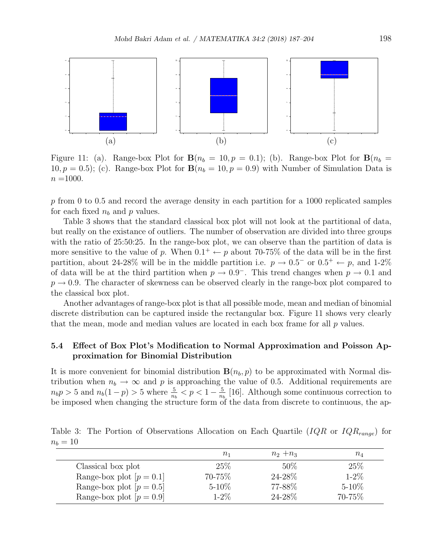

Figure 11: (a). Range-box Plot for  $B(n_b = 10, p = 0.1)$ ; (b). Range-box Plot for  $B(n_b = 10, p = 0.1)$ 10,  $p = 0.5$ ); (c). Range-box Plot for  $B(n_b = 10, p = 0.9)$  with Number of Simulation Data is  $n =1000$ .

 $p$  from 0 to 0.5 and record the average density in each partition for a 1000 replicated samples for each fixed  $n_b$  and p values.

Table 3 shows that the standard classical box plot will not look at the partitional of data, but really on the existance of outliers. The number of observation are divided into three groups with the ratio of 25:50:25. In the range-box plot, we can observe than the partition of data is more sensitive to the value of p. When  $0.1^+ \leftarrow p$  about 70-75% of the data will be in the first partition, about 24-28% will be in the middle partition i.e.  $p \to 0.5^-$  or  $0.5^+ \leftarrow p$ , and 1-2% of data will be at the third partition when  $p \to 0.9^-$ . This trend changes when  $p \to 0.1$  and  $p \rightarrow 0.9$ . The character of skewness can be observed clearly in the range-box plot compared to the classical box plot.

Another advantages of range-box plot is that all possible mode, mean and median of binomial discrete distribution can be captured inside the rectangular box. Figure 11 shows very clearly that the mean, mode and median values are located in each box frame for all  $p$  values.

### 5.4 Effect of Box Plot's Modification to Normal Approximation and Poisson Approximation for Binomial Distribution

It is more convenient for binomial distribution  $B(n_b, p)$  to be approximated with Normal distribution when  $n_b \to \infty$  and p is approaching the value of 0.5. Additional requirements are  $n_b p > 5$  and  $n_b(1-p) > 5$  where  $\frac{5}{n_b} < p < 1-\frac{5}{n_b}$  $\frac{5}{n_b}$  [16]. Although some continuous correction to be imposed when changing the structure form of the data from discrete to continuous, the ap-

Table 3: The Portion of Observations Allocation on Each Quartile ( $IQR$  or  $IQR_{range}$ ) for  $n_b = 10$ 

|                            | $n_{1}$    | $n_2 + n_3$ | $n_4$      |
|----------------------------|------------|-------------|------------|
| Classical box plot         | 25%        | 50%         | 25\%       |
| Range-box plot $[p = 0.1]$ | 70-75%     | 24-28\%     | $1 - 2\%$  |
| Range-box plot $[p = 0.5]$ | $5 - 10\%$ | 77-88%      | $5 - 10\%$ |
| Range-box plot $[p = 0.9]$ | $1 - 2\%$  | 24-28\%     | 70-75%     |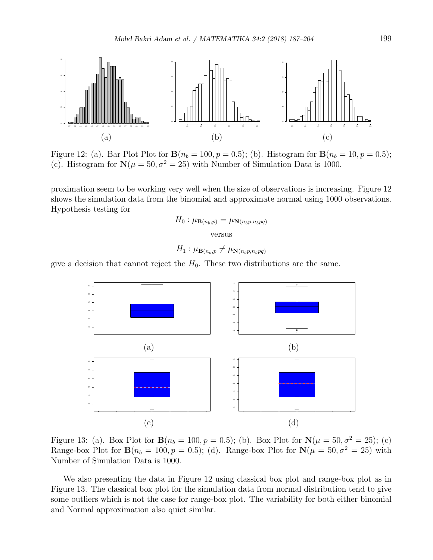

Figure 12: (a). Bar Plot Plot for  ${\bf B}(n_b = 100, p = 0.5)$ ; (b). Histogram for  ${\bf B}(n_b = 10, p = 0.5)$ ; (c). Histogram for  $\mathbf{N}(\mu = 50, \sigma^2 = 25)$  with Number of Simulation Data is 1000.

proximation seem to be working very well when the size of observations is increasing. Figure 12 shows the simulation data from the binomial and approximate normal using 1000 observations. Hypothesis testing for

$$
H_0: \mu_{\mathbf{B}(n_b, p)} = \mu_{\mathbf{N}(n_b p, n_b p q)}
$$

versus

$$
H_1: \mu_{\mathbf{B}(n_b, p} \neq \mu_{\mathbf{N}(n_b p, n_b p q)}
$$

give a decision that cannot reject the  $H_0$ . These two distributions are the same.



Figure 13: (a). Box Plot for  $B(n_b = 100, p = 0.5)$ ; (b). Box Plot for  $N(\mu = 50, \sigma^2 = 25)$ ; (c) Range-box Plot for  $\mathbf{B}(n_b = 100, p = 0.5)$ ; (d). Range-box Plot for  $\mathbf{N}(\mu = 50, \sigma^2 = 25)$  with Number of Simulation Data is 1000.

We also presenting the data in Figure 12 using classical box plot and range-box plot as in Figure 13. The classical box plot for the simulation data from normal distribution tend to give some outliers which is not the case for range-box plot. The variability for both either binomial and Normal approximation also quiet similar.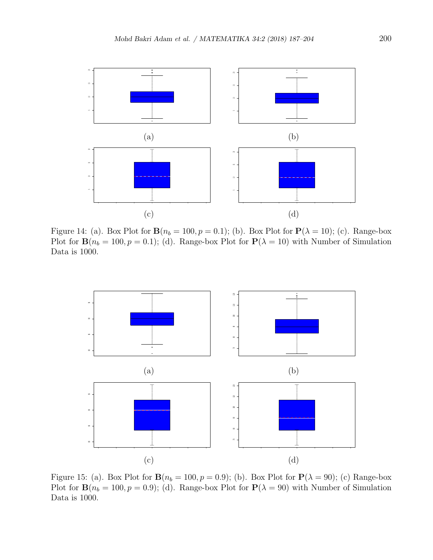

Figure 14: (a). Box Plot for  $\mathbf{B}(n_b = 100, p = 0.1)$ ; (b). Box Plot for  $\mathbf{P}(\lambda = 10)$ ; (c). Range-box Plot for  $\mathbf{B}(n_b = 100, p = 0.1)$ ; (d). Range-box Plot for  $\mathbf{P}(\lambda = 10)$  with Number of Simulation Data is 1000.



Figure 15: (a). Box Plot for  $\mathbf{B}(n_b = 100, p = 0.9)$ ; (b). Box Plot for  $\mathbf{P}(\lambda = 90)$ ; (c) Range-box Plot for  $\mathbf{B}(n_b = 100, p = 0.9)$ ; (d). Range-box Plot for  $\mathbf{P}(\lambda = 90)$  with Number of Simulation Data is 1000.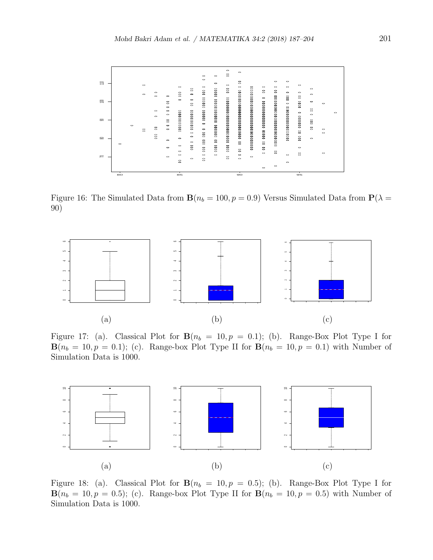

Figure 16: The Simulated Data from  $\mathbf{B}(n_b = 100, p = 0.9)$  Versus Simulated Data from  $\mathbf{P}(\lambda =$ 90)



Figure 17: (a). Classical Plot for  $B(n_b = 10, p = 0.1)$ ; (b). Range-Box Plot Type I for  $\mathbf{B}(n_b = 10, p = 0.1);$  (c). Range-box Plot Type II for  $\mathbf{B}(n_b = 10, p = 0.1)$  with Number of Simulation Data is 1000.



Figure 18: (a). Classical Plot for  $B(n_b = 10, p = 0.5)$ ; (b). Range-Box Plot Type I for  $\mathbf{B}(n_b = 10, p = 0.5)$ ; (c). Range-box Plot Type II for  $\mathbf{B}(n_b = 10, p = 0.5)$  with Number of Simulation Data is 1000.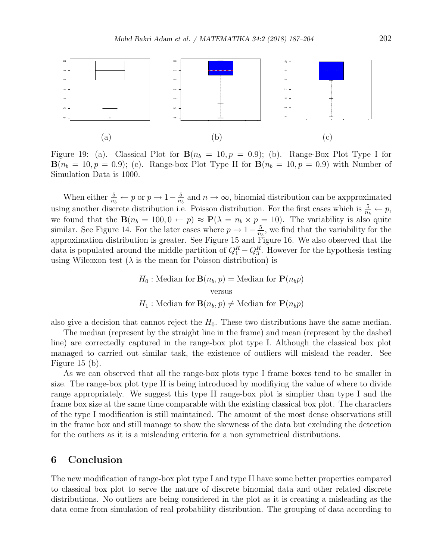

Figure 19: (a). Classical Plot for  $\mathbf{B}(n_b = 10, p = 0.9)$ ; (b). Range-Box Plot Type I for  $\mathbf{B}(n_b = 10, p = 0.9)$ ; (c). Range-box Plot Type II for  $\mathbf{B}(n_b = 10, p = 0.9)$  with Number of Simulation Data is 1000.

When either  $\frac{5}{n_b} \leftarrow p$  or  $p \rightarrow 1-\frac{5}{n_b}$  $\frac{5}{n_b}$  and  $n \to \infty$ , binomial distribution can be axpproximated using another discrete distribution i.e. Poisson distribution. For the first cases which is  $\frac{5}{n_b} \leftarrow p$ , we found that the  $\mathbf{B}(n_b = 100, 0 \leftarrow p) \approx \mathbf{P}(\lambda = n_b \times p = 10)$ . The variability is also quite similar. See Figure 14. For the later cases where  $p \to 1-\frac{5}{n}$  $\frac{5}{n_b}$ , we find that the variability for the approximation distribution is greater. See Figure 15 and Figure 16. We also observed that the data is populated around the middle partition of  $Q_1^R - Q_3^R$ . However for the hypothesis testing using Wilcoxon test  $(\lambda)$  is the mean for Poisson distribution) is

> $H_0$ : Median for **B** $(n_b, p)$  = Median for **P** $(n_b p)$ versus  $H_1$ : Median for **B** $(n_b, p) \neq$  Median for **P** $(n_b p)$

also give a decision that cannot reject the  $H_0$ . These two distributions have the same median.

The median (represent by the straight line in the frame) and mean (represent by the dashed line) are correctedly captured in the range-box plot type I. Although the classical box plot managed to carried out similar task, the existence of outliers will mislead the reader. See Figure 15 (b).

As we can observed that all the range-box plots type I frame boxes tend to be smaller in size. The range-box plot type II is being introduced by modifiying the value of where to divide range appropriately. We suggest this type II range-box plot is simplier than type I and the frame box size at the same time comparable with the existing classical box plot. The characters of the type I modification is still maintained. The amount of the most dense observations still in the frame box and still manage to show the skewness of the data but excluding the detection for the outliers as it is a misleading criteria for a non symmetrical distributions.

### 6 Conclusion

The new modification of range-box plot type I and type II have some better properties compared to classical box plot to serve the nature of discrete binomial data and other related discrete distributions. No outliers are being considered in the plot as it is creating a misleading as the data come from simulation of real probability distribution. The grouping of data according to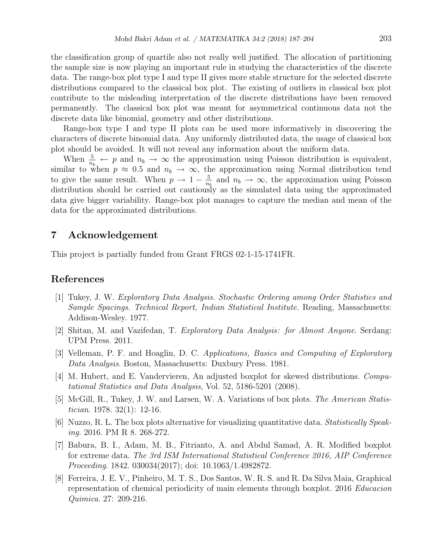the classification group of quartile also not really well justified. The allocation of partitioning the sample size is now playing an important rule in studying the characteristics of the discrete data. The range-box plot type I and type II gives more stable structure for the selected discrete distributions compared to the classical box plot. The existing of outliers in classical box plot contribute to the misleading interpretation of the discrete distributions have been removed permanently. The classical box plot was meant for asymmetrical continuous data not the discrete data like binomial, geometry and other distributions.

Range-box type I and type II plots can be used more informatively in discovering the characters of discrete binomial data. Any uniformly distributed data, the usage of classical box plot should be avoided. It will not reveal any information about the uniform data.

When  $\frac{5}{n_b} \leftarrow p$  and  $n_b \rightarrow \infty$  the approximation using Poisson distribution is equivalent, similar to when  $p \approx 0.5$  and  $n_b \to \infty$ , the approximation using Normal distribution tend to give the same result. When  $p \to 1-\frac{5}{n}$  $\frac{5}{n_b}$  and  $n_b \to \infty$ , the approximation using Poisson distribution should be carried out cautiously as the simulated data using the approximated data give bigger variability. Range-box plot manages to capture the median and mean of the data for the approximated distributions.

### 7 Acknowledgement

This project is partially funded from Grant FRGS 02-1-15-1741FR.

## References

- [1] Tukey, J. W. Exploratory Data Analysis. Stochastic Ordering among Order Statistics and Sample Spacings. Technical Report, Indian Statistical Institute. Reading, Massachusetts: Addison-Wesley. 1977.
- [2] Shitan, M. and Vazifedan, T. Exploratory Data Analysis: for Almost Anyone. Serdang: UPM Press. 2011.
- [3] Velleman, P. F. and Hoaglin, D. C. Applications, Basics and Computing of Exploratory Data Analysis. Boston, Massachusetts: Duxbury Press. 1981.
- [4] M. Hubert, and E. Vandervieren, An adjusted boxplot for skewed distributions. Computational Statistics and Data Analysis, Vol. 52, 5186-5201 (2008).
- [5] McGill, R., Tukey, J. W. and Larsen, W. A. Variations of box plots. The American Statistician. 1978. 32(1): 12-16.
- [6] Nuzzo, R. L. The box plots alternative for visualizing quantitative data. Statistically Speaking. 2016. PM R 8. 268-272.
- [7] Babura, B. I., Adam, M. B., Fitrianto, A. and Abdul Samad, A. R. Modified boxplot for extreme data. The 3rd ISM International Statistical Conference 2016, AIP Conference Proceeding. 1842. 030034(2017); doi: 10.1063/1.4982872.
- [8] Ferreira, J. E. V., Pinheiro, M. T. S., Dos Santos, W. R. S. and R. Da Silva Maia, Graphical representation of chemical periodicity of main elements through boxplot. 2016 Educacion Quimica. 27: 209-216.